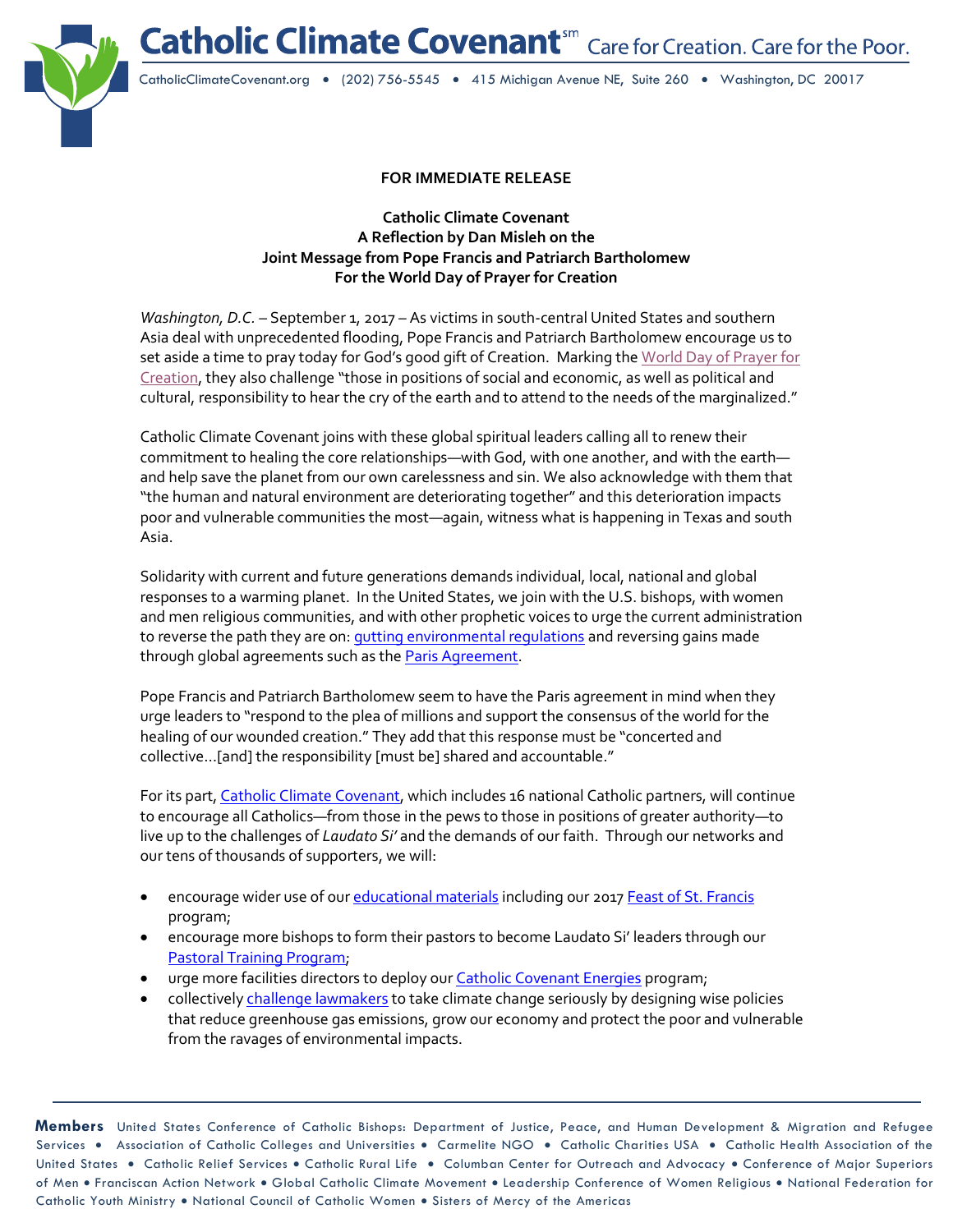Catholic Climate Covenant<sup>sm</sup> Care for Creation. Care for the Poor.



CatholicClimateCovenant.org • (202) 756-5545 • 415 Michigan Avenue NE, Suite 260 • Washington, DC 20017

## **FOR IMMEDIATE RELEASE**

**Catholic Climate Covenant A Reflection by Dan Misleh on the Joint Message from Pope Francis and Patriarch Bartholomew For the World Day of Prayer for Creation**

*Washington, D.C.* – September 1, 2017 – As victims in south-central United States and southern Asia deal with unprecedented flooding, Pope Francis and Patriarch Bartholomew encourage us to set aside a time to pray today for God's good gift of Creation. Marking the World Day of Prayer for [Creation,](http://w2.vatican.va/content/francesco/en/messages/pont-messages/2017/documents/papa-francesco_20170901_messaggio-giornata-cura-creato.html) they also challenge "those in positions of social and economic, as well as political and cultural, responsibility to hear the cry of the earth and to attend to the needs of the marginalized."

Catholic Climate Covenant joins with these global spiritual leaders calling all to renew their commitment to healing the core relationships—with God, with one another, and with the earth and help save the planet from our own carelessness and sin. We also acknowledge with them that "the human and natural environment are deteriorating together" and this deterioration impacts poor and vulnerable communities the most—again, witness what is happening in Texas and south Asia.

Solidarity with current and future generations demands individual, local, national and global responses to a warming planet. In the United States, we join with the U.S. bishops, with women and men religious communities, and with other prophetic voices to urge the current administration to reverse the path they are on: *gutting environmental regulations and reversing gains made* through global agreements such as th[e Paris Agreement.](http://www.usccb.org/news/2017/17-092.cfm)

Pope Francis and Patriarch Bartholomew seem to have the Paris agreement in mind when they urge leaders to "respond to the plea of millions and support the consensus of the world for the healing of our wounded creation." They add that this response must be "concerted and collective…[and] the responsibility [must be] shared and accountable."

For its part[, Catholic Climate Covenant,](http://www.catholicclimatecovenant.org/) which includes 16 national Catholic partners, will continue to encourage all Catholics—from those in the pews to those in positions of greater authority—to live up to the challenges of *Laudato Si'* and the demands of our faith. Through our networks and our tens of thousands of supporters, we will:

- encourage wider use of ou[r educational materials](http://www.catholicclimatecovenant.org/Resources) including our 2017 [Feast of St. Francis](http://www.catholicclimatecovenant.org/FOSF) program;
- encourage more bishops to form their pastors to become Laudato Si' leaders through our [Pastoral Training Program;](http://www.catholicclimatecovenant.org/cccblog/priests-and-deacons-in-new-mexico-respond-to-laudato-si)
- urge more facilities directors to deploy our **[Catholic Covenant Energies](http://www.catholicclimatecovenant.org/cce)** program;
- collectivel[y challenge lawmakers](http://www.catholicclimatecovenant.org/Advocacy) to take climate change seriously by designing wise policies that reduce greenhouse gas emissions, grow our economy and protect the poor and vulnerable from the ravages of environmental impacts.

**Members** United States Conference of Catholic Bishops: Department of Justice, Peace, and Human Development & Migration and Refugee Services . Association of Catholic Colleges and Universities . Carmelite NGO . Catholic Charities USA . Catholic Health Association of the United States . Catholic Relief Services . Catholic Rural Life . Columban Center for Outreach and Advocacy . Conference of Major Superiors of Men • Franciscan Action Network • Global Catholic Climate Movement • Leadership Conference of Women Religious • National Federation for Catholic Youth Ministry • National Council of Catholic Women • Sisters of Mercy of the Americas